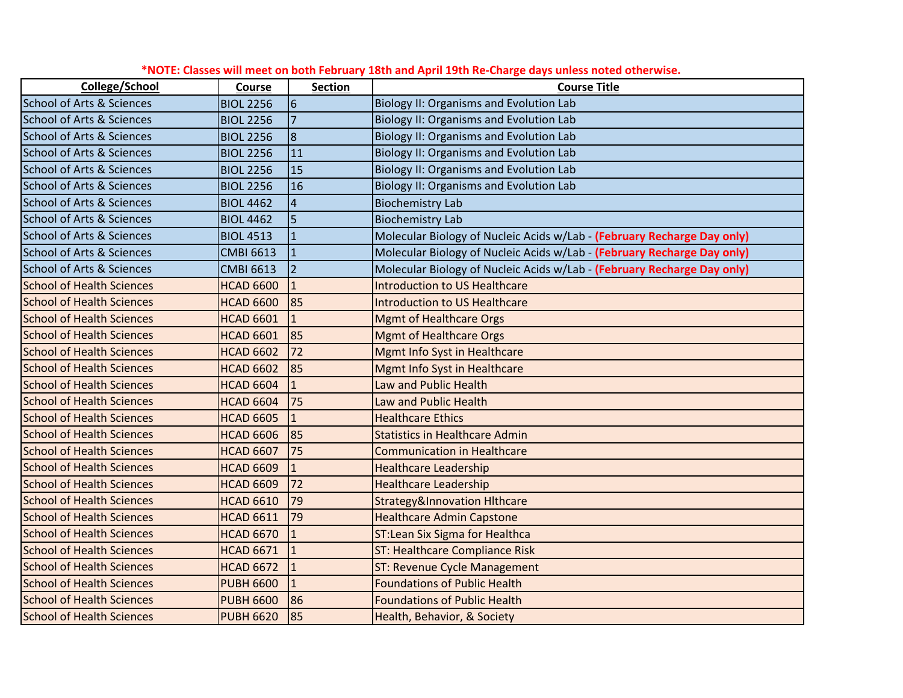| College/School                       | Course           | <b>Section</b>   | <b>Course Title</b>                                                     |
|--------------------------------------|------------------|------------------|-------------------------------------------------------------------------|
| <b>School of Arts &amp; Sciences</b> | <b>BIOL 2256</b> | $6\phantom{1}6$  | <b>Biology II: Organisms and Evolution Lab</b>                          |
| <b>School of Arts &amp; Sciences</b> | <b>BIOL 2256</b> | $\overline{7}$   | <b>Biology II: Organisms and Evolution Lab</b>                          |
| <b>School of Arts &amp; Sciences</b> | <b>BIOL 2256</b> | $\boldsymbol{8}$ | <b>Biology II: Organisms and Evolution Lab</b>                          |
| <b>School of Arts &amp; Sciences</b> | <b>BIOL 2256</b> | 11               | <b>Biology II: Organisms and Evolution Lab</b>                          |
| <b>School of Arts &amp; Sciences</b> | <b>BIOL 2256</b> | 15               | <b>Biology II: Organisms and Evolution Lab</b>                          |
| <b>School of Arts &amp; Sciences</b> | <b>BIOL 2256</b> | 16               | Biology II: Organisms and Evolution Lab                                 |
| <b>School of Arts &amp; Sciences</b> | <b>BIOL 4462</b> | $\overline{4}$   | <b>Biochemistry Lab</b>                                                 |
| <b>School of Arts &amp; Sciences</b> | <b>BIOL 4462</b> | 5                | <b>Biochemistry Lab</b>                                                 |
| <b>School of Arts &amp; Sciences</b> | <b>BIOL 4513</b> | $\mathbf{1}$     | Molecular Biology of Nucleic Acids w/Lab - (February Recharge Day only) |
| <b>School of Arts &amp; Sciences</b> | <b>CMBI 6613</b> | $\mathbf{1}$     | Molecular Biology of Nucleic Acids w/Lab - (February Recharge Day only) |
| <b>School of Arts &amp; Sciences</b> | <b>CMBI 6613</b> | $\overline{2}$   | Molecular Biology of Nucleic Acids w/Lab - (February Recharge Day only) |
| <b>School of Health Sciences</b>     | <b>HCAD 6600</b> | $\mathbf{1}$     | <b>Introduction to US Healthcare</b>                                    |
| <b>School of Health Sciences</b>     | <b>HCAD 6600</b> | 85               | <b>Introduction to US Healthcare</b>                                    |
| <b>School of Health Sciences</b>     | <b>HCAD 6601</b> | $\mathbf{1}$     | <b>Mgmt of Healthcare Orgs</b>                                          |
| <b>School of Health Sciences</b>     | <b>HCAD 6601</b> | 85               | <b>Mgmt of Healthcare Orgs</b>                                          |
| <b>School of Health Sciences</b>     | <b>HCAD 6602</b> | 72               | <b>Mgmt Info Syst in Healthcare</b>                                     |
| <b>School of Health Sciences</b>     | <b>HCAD 6602</b> | 85               | <b>Mgmt Info Syst in Healthcare</b>                                     |
| <b>School of Health Sciences</b>     | <b>HCAD 6604</b> | $\mathbf{1}$     | Law and Public Health                                                   |
| <b>School of Health Sciences</b>     | <b>HCAD 6604</b> | 75               | Law and Public Health                                                   |
| <b>School of Health Sciences</b>     | <b>HCAD 6605</b> | $\mathbf{1}$     | <b>Healthcare Ethics</b>                                                |
| <b>School of Health Sciences</b>     | <b>HCAD 6606</b> | 85               | <b>Statistics in Healthcare Admin</b>                                   |
| <b>School of Health Sciences</b>     | <b>HCAD 6607</b> | 75               | <b>Communication in Healthcare</b>                                      |
| <b>School of Health Sciences</b>     | <b>HCAD 6609</b> | $\mathbf{1}$     | <b>Healthcare Leadership</b>                                            |
| <b>School of Health Sciences</b>     | <b>HCAD 6609</b> | 72               | <b>Healthcare Leadership</b>                                            |
| <b>School of Health Sciences</b>     | <b>HCAD 6610</b> | 79               | <b>Strategy&amp;Innovation Hithcare</b>                                 |
| <b>School of Health Sciences</b>     | <b>HCAD 6611</b> | 79               | <b>Healthcare Admin Capstone</b>                                        |
| <b>School of Health Sciences</b>     | <b>HCAD 6670</b> | $\mathbf{1}$     | <b>ST:Lean Six Sigma for Healthca</b>                                   |
| <b>School of Health Sciences</b>     | <b>HCAD 6671</b> | $\mathbf{1}$     | <b>ST: Healthcare Compliance Risk</b>                                   |
| <b>School of Health Sciences</b>     | <b>HCAD 6672</b> | $\mathbf{1}$     | <b>ST: Revenue Cycle Management</b>                                     |
| <b>School of Health Sciences</b>     | <b>PUBH 6600</b> | $\mathbf{1}$     | <b>Foundations of Public Health</b>                                     |
| <b>School of Health Sciences</b>     | <b>PUBH 6600</b> | 86               | <b>Foundations of Public Health</b>                                     |
| <b>School of Health Sciences</b>     | <b>PUBH 6620</b> | 85               | Health, Behavior, & Society                                             |

| *NOTE: Classes will meet on both February 18th and April 19th Re-Charge days unless noted otherwise. |  |  |  |  |
|------------------------------------------------------------------------------------------------------|--|--|--|--|
|------------------------------------------------------------------------------------------------------|--|--|--|--|